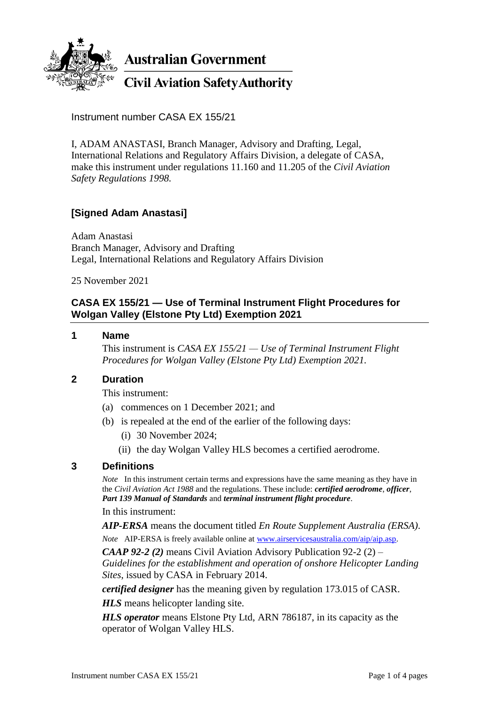

**Australian Government** 

**Civil Aviation Safety Authority** 

Instrument number CASA EX 155/21

I, ADAM ANASTASI, Branch Manager, Advisory and Drafting, Legal, International Relations and Regulatory Affairs Division, a delegate of CASA, make this instrument under regulations 11.160 and 11.205 of the *Civil Aviation Safety Regulations 1998.*

# **[Signed Adam Anastasi]**

Adam Anastasi Branch Manager, Advisory and Drafting Legal, International Relations and Regulatory Affairs Division

25 November 2021

## **CASA EX 155/21 — Use of Terminal Instrument Flight Procedures for Wolgan Valley (Elstone Pty Ltd) Exemption 2021**

### **1 Name**

This instrument is *CASA EX 155/21 — Use of Terminal Instrument Flight Procedures for Wolgan Valley (Elstone Pty Ltd) Exemption 2021.*

### **2 Duration**

This instrument:

- (a) commences on 1 December 2021; and
- (b) is repealed at the end of the earlier of the following days:
	- (i) 30 November 2024;
	- (ii) the day Wolgan Valley HLS becomes a certified aerodrome.

### **3 Definitions**

*Note* In this instrument certain terms and expressions have the same meaning as they have in the *Civil Aviation Act 1988* and the regulations. These include: *certified aerodrome*, *officer*, *Part 139 Manual of Standards* and *terminal instrument flight procedure*.

In this instrument:

*AIP-ERSA* means the document titled *En Route Supplement Australia (ERSA)*.

*Note* AIP-ERSA is freely available online at [www.airservicesaustralia.com/aip/aip.asp.](http://www.airservicesaustralia.com/aip/aip.asp)

*CAAP 92-2 (2)* means Civil Aviation Advisory Publication 92-2 (2) – *Guidelines for the establishment and operation of onshore Helicopter Landing* 

*Sites*, issued by CASA in February 2014.

*certified designer* has the meaning given by regulation 173.015 of CASR.

*HLS* means helicopter landing site.

*HLS operator* means Elstone Pty Ltd, ARN 786187, in its capacity as the operator of Wolgan Valley HLS.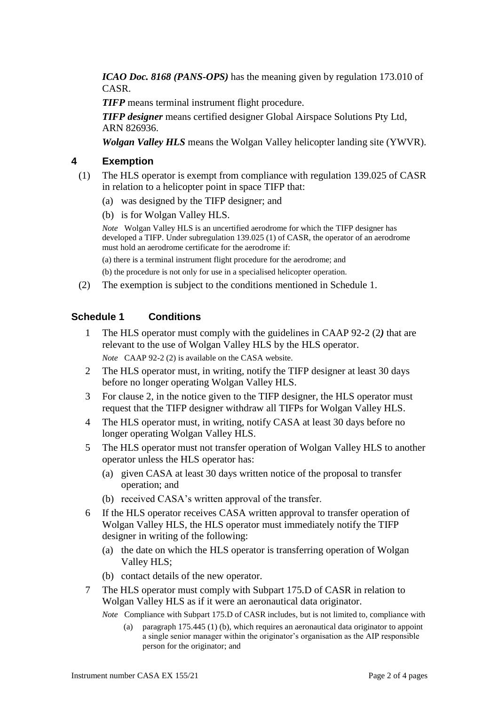*ICAO Doc. 8168 (PANS-OPS)* has the meaning given by regulation 173.010 of CASR.

*TIFP* means terminal instrument flight procedure.

*TIFP designer* means certified designer Global Airspace Solutions Pty Ltd, ARN 826936.

*Wolgan Valley HLS* means the Wolgan Valley helicopter landing site (YWVR).

### **4 Exemption**

- (1) The HLS operator is exempt from compliance with regulation 139.025 of CASR in relation to a helicopter point in space TIFP that:
	- (a) was designed by the TIFP designer; and
	- (b) is for Wolgan Valley HLS.

*Note* Wolgan Valley HLS is an uncertified aerodrome for which the TIFP designer has developed a TIFP. Under subregulation 139.025 (1) of CASR, the operator of an aerodrome must hold an aerodrome certificate for the aerodrome if:

(a) there is a terminal instrument flight procedure for the aerodrome; and

(b) the procedure is not only for use in a specialised helicopter operation.

(2) The exemption is subject to the conditions mentioned in Schedule 1.

### **Schedule 1 Conditions**

- 1 The HLS operator must comply with the guidelines in CAAP 92-2 (2*)* that are relevant to the use of Wolgan Valley HLS by the HLS operator. *Note* CAAP 92-2 (2) is available on the CASA website.
- 2 The HLS operator must, in writing, notify the TIFP designer at least 30 days before no longer operating Wolgan Valley HLS.
- 3 For clause 2, in the notice given to the TIFP designer, the HLS operator must request that the TIFP designer withdraw all TIFPs for Wolgan Valley HLS.
- 4 The HLS operator must, in writing, notify CASA at least 30 days before no longer operating Wolgan Valley HLS.
- 5 The HLS operator must not transfer operation of Wolgan Valley HLS to another operator unless the HLS operator has:
	- (a) given CASA at least 30 days written notice of the proposal to transfer operation; and
	- (b) received CASA's written approval of the transfer.
- 6 If the HLS operator receives CASA written approval to transfer operation of Wolgan Valley HLS, the HLS operator must immediately notify the TIFP designer in writing of the following:
	- (a) the date on which the HLS operator is transferring operation of Wolgan Valley HLS;
	- (b) contact details of the new operator.
- 7 The HLS operator must comply with Subpart 175.D of CASR in relation to Wolgan Valley HLS as if it were an aeronautical data originator.

*Note* Compliance with Subpart 175.D of CASR includes, but is not limited to, compliance with

(a) paragraph 175.445 (1) (b), which requires an aeronautical data originator to appoint a single senior manager within the originator's organisation as the AIP responsible person for the originator; and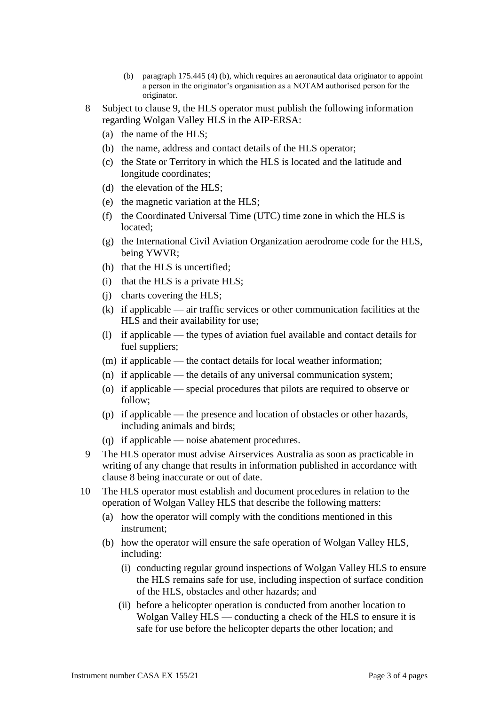- (b) paragraph 175.445 (4) (b), which requires an aeronautical data originator to appoint a person in the originator's organisation as a NOTAM authorised person for the originator.
- 8 Subject to clause 9, the HLS operator must publish the following information regarding Wolgan Valley HLS in the AIP-ERSA:
	- (a) the name of the HLS;
	- (b) the name, address and contact details of the HLS operator;
	- (c) the State or Territory in which the HLS is located and the latitude and longitude coordinates;
	- (d) the elevation of the HLS;
	- (e) the magnetic variation at the HLS;
	- (f) the Coordinated Universal Time (UTC) time zone in which the HLS is located;
	- (g) the International Civil Aviation Organization aerodrome code for the HLS, being YWVR;
	- (h) that the HLS is uncertified;
	- (i) that the HLS is a private HLS;
	- (j) charts covering the HLS;
	- (k) if applicable air traffic services or other communication facilities at the HLS and their availability for use;
	- (l) if applicable the types of aviation fuel available and contact details for fuel suppliers;
	- (m) if applicable the contact details for local weather information;
	- (n) if applicable the details of any universal communication system;
	- (o) if applicable special procedures that pilots are required to observe or follow;
	- (p) if applicable the presence and location of obstacles or other hazards, including animals and birds;
	- (q) if applicable noise abatement procedures.
- 9 The HLS operator must advise Airservices Australia as soon as practicable in writing of any change that results in information published in accordance with clause 8 being inaccurate or out of date.
- 10 The HLS operator must establish and document procedures in relation to the operation of Wolgan Valley HLS that describe the following matters:
	- (a) how the operator will comply with the conditions mentioned in this instrument;
	- (b) how the operator will ensure the safe operation of Wolgan Valley HLS, including:
		- (i) conducting regular ground inspections of Wolgan Valley HLS to ensure the HLS remains safe for use, including inspection of surface condition of the HLS, obstacles and other hazards; and
		- (ii) before a helicopter operation is conducted from another location to Wolgan Valley HLS — conducting a check of the HLS to ensure it is safe for use before the helicopter departs the other location; and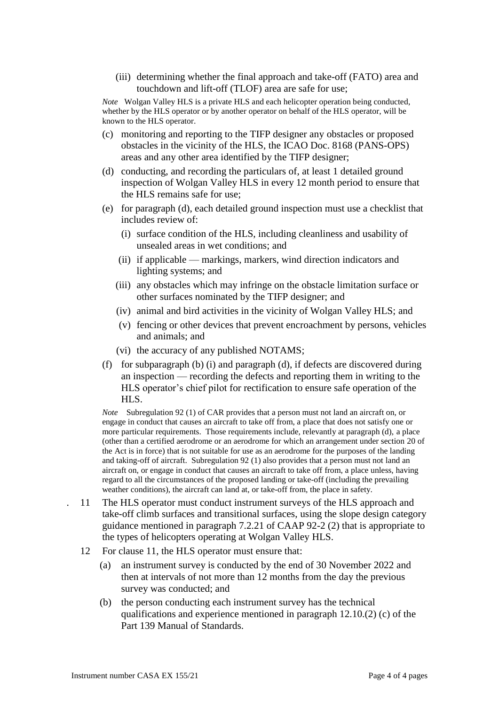(iii) determining whether the final approach and take-off (FATO) area and touchdown and lift-off (TLOF) area are safe for use;

*Note* Wolgan Valley HLS is a private HLS and each helicopter operation being conducted, whether by the HLS operator or by another operator on behalf of the HLS operator, will be known to the HLS operator.

- (c) monitoring and reporting to the TIFP designer any obstacles or proposed obstacles in the vicinity of the HLS, the ICAO Doc. 8168 (PANS-OPS) areas and any other area identified by the TIFP designer;
- (d) conducting, and recording the particulars of, at least 1 detailed ground inspection of Wolgan Valley HLS in every 12 month period to ensure that the HLS remains safe for use;
- (e) for paragraph (d), each detailed ground inspection must use a checklist that includes review of:
	- (i) surface condition of the HLS, including cleanliness and usability of unsealed areas in wet conditions; and
	- (ii) if applicable markings, markers, wind direction indicators and lighting systems; and
	- (iii) any obstacles which may infringe on the obstacle limitation surface or other surfaces nominated by the TIFP designer; and
	- (iv) animal and bird activities in the vicinity of Wolgan Valley HLS; and
	- (v) fencing or other devices that prevent encroachment by persons, vehicles and animals; and
	- (vi) the accuracy of any published NOTAMS;
- (f) for subparagraph (b) (i) and paragraph (d), if defects are discovered during an inspection — recording the defects and reporting them in writing to the HLS operator's chief pilot for rectification to ensure safe operation of the HLS.

*Note* Subregulation 92 (1) of CAR provides that a person must not land an aircraft on, or engage in conduct that causes an aircraft to take off from, a place that does not satisfy one or more particular requirements. Those requirements include, relevantly at paragraph (d), a place (other than a certified aerodrome or an aerodrome for which an arrangement under section 20 of the Act is in force) that is not suitable for use as an aerodrome for the purposes of the landing and taking-off of aircraft. Subregulation 92 (1) also provides that a person must not land an aircraft on, or engage in conduct that causes an aircraft to take off from, a place unless, having regard to all the circumstances of the proposed landing or take-off (including the prevailing weather conditions), the aircraft can land at, or take-off from, the place in safety.

- . 11 The HLS operator must conduct instrument surveys of the HLS approach and take-off climb surfaces and transitional surfaces, using the slope design category guidance mentioned in paragraph 7.2.21 of CAAP 92-2 (2) that is appropriate to the types of helicopters operating at Wolgan Valley HLS.
	- 12 For clause 11, the HLS operator must ensure that:
		- (a) an instrument survey is conducted by the end of 30 November 2022 and then at intervals of not more than 12 months from the day the previous survey was conducted; and
		- (b) the person conducting each instrument survey has the technical qualifications and experience mentioned in paragraph 12.10.(2) (c) of the Part 139 Manual of Standards.